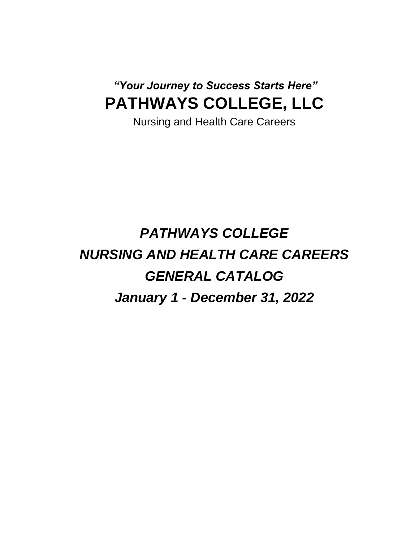## *"Your Journey to Success Starts Here"* **PATHWAYS COLLEGE, LLC**

Nursing and Health Care Careers

# *PATHWAYS COLLEGE NURSING AND HEALTH CARE CAREERS GENERAL CATALOG January 1 - December 31, 2022*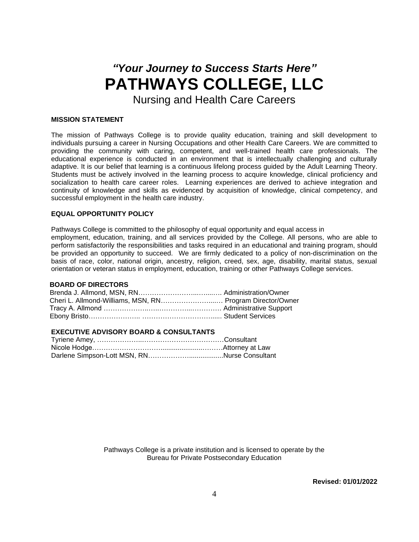## *"Your Journey to Success Starts Here"* **PATHWAYS COLLEGE, LLC**

Nursing and Health Care Careers

#### **MISSION STATEMENT**

The mission of Pathways College is to provide quality education, training and skill development to individuals pursuing a career in Nursing Occupations and other Health Care Careers. We are committed to providing the community with caring, competent, and well-trained health care professionals. The educational experience is conducted in an environment that is intellectually challenging and culturally adaptive. It is our belief that learning is a continuous lifelong process guided by the Adult Learning Theory. Students must be actively involved in the learning process to acquire knowledge, clinical proficiency and socialization to health care career roles. Learning experiences are derived to achieve integration and continuity of knowledge and skills as evidenced by acquisition of knowledge, clinical competency, and successful employment in the health care industry.

#### **EQUAL OPPORTUNITY POLICY**

Pathways College is committed to the philosophy of equal opportunity and equal access in employment, education, training, and all services provided by the College. All persons, who are able to perform satisfactorily the responsibilities and tasks required in an educational and training program, should be provided an opportunity to succeed. We are firmly dedicated to a policy of non-discrimination on the basis of race, color, national origin, ancestry, religion, creed, sex, age, disability, marital status, sexual orientation or veteran status in employment, education, training or other Pathways College services.

#### **BOARD OF DIRECTORS**

| Cheri L. Allmond-Williams, MSN, RN Program Director/Owner |  |
|-----------------------------------------------------------|--|
|                                                           |  |
|                                                           |  |

#### **EXECUTIVE ADVISORY BOARD & CONSULTANTS**

Pathways College is a private institution and is licensed to operate by the Bureau for Private Postsecondary Education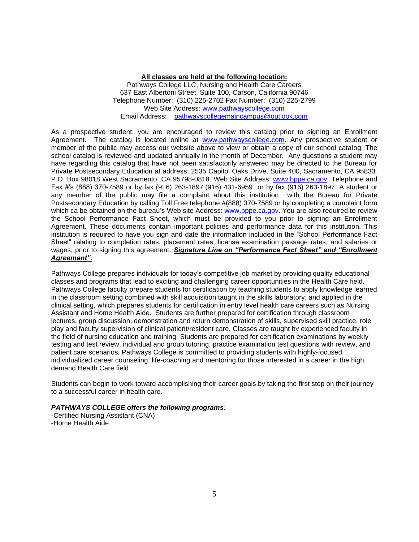#### **All classes are held at the following location:**

Pathways College LLC, Nursing and Health Care Careers 637 East Albertoni Street, Suite 100, Carson, California 90746 Telephone Number: (310) 225-2702 Fax Number: (310) 225-2799 Web Site Address: [www.pathwayscollege.com](http://www.pathwayscollege.com/) Email Address: pathwayscollegemaincampus@outlook.com

As a prospective student, you are encouraged to review this catalog prior to signing an Enrollment Agreement. The catalog is located online at [www.pathwayscollege.com.](http://www.pathwayscollege.com/) Any prospective student or member of the public may access our website above to view or obtain a copy of our school catalog. The school catalog is reviewed and updated annually in the month of December. Any questions a student may have regarding this catalog that have not been satisfactorily answered may be directed to the Bureau for Private Postsecondary Education at address: 2535 Capitol Oaks Drive, Suite 400, Sacramento, CA 95833. P.O. Box 98018 West Sacramento, CA 95798-0818. Web Site Address: [www.bppe.ca.gov.](http://www.bppe.ca.gov/) Telephone and Fax #'s (888) 370-7589 or by fax (916) 263-1897.(916) 431-6959 or by fax (916) 263-1897. A student or any member of the public may file a complaint about this institution with the Bureau for Private Postsecondary Education by calling Toll Free telephone #(888) 370-7589 or by completing a complaint form which ca be obtained on the bureau's Web site Address: [www.bppe.ca.gov.](http://www.bppe.ca.gov/) You are also required to review the School Performance Fact Sheet, which must be provided to you prior to signing an Enrollment Agreement. These documents contain important policies and performance data for this institution. This institution is required to have you sign and date the information included in the "School Performance Fact Sheet" relating to completion rates, placement rates, license examination passage rates, and salaries or wages, prior to signing this agreement. **Signature Line on "Performance Fact Sheet" and "Enrollment** *Agreement".*

Pathways College prepares individuals for today's competitive job market by providing quality educational classes and programs that lead to exciting and challenging career opportunities in the Health Care field. Pathways College faculty prepare students for certification by teaching students to apply knowledge learned in the classroom setting combined with skill acquisition taught in the skills laboratory, and applied in the clinical setting, which prepares students for certification in entry level health care careers such as Nursing Assistant and Home Health Aide. Students are further prepared for certification through classroom lectures, group discussion, demonstration and return demonstration of skills, supervised skill practice, role play and faculty supervision of clinical patient/resident care. Classes are taught by experienced faculty in the field of nursing education and training. Students are prepared for certification examinations by weekly testing and test review, individual and group tutoring, practice examination test questions with review, and patient care scenarios. Pathways College is committed to providing students with highly-focused individualized career counseling, life-coaching and mentoring for those interested in a career in the high demand Health Care field.

Students can begin to work toward accomplishing their career goals by taking the first step on their journey to a successful career in health care.

#### *PATHWAYS COLLEGE offers the following programs:*

-Certified Nursing Assistant (CNA) -Home Health Aide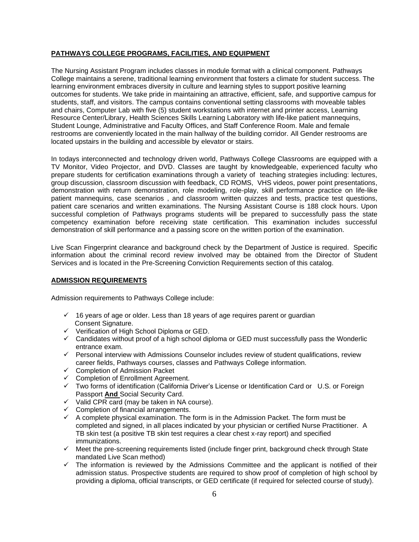#### **PATHWAYS COLLEGE PROGRAMS, FACILITIES, AND EQUIPMENT**

The Nursing Assistant Program includes classes in module format with a clinical component. Pathways College maintains a serene, traditional learning environment that fosters a climate for student success. The learning environment embraces diversity in culture and learning styles to support positive learning outcomes for students. We take pride in maintaining an attractive, efficient, safe, and supportive campus for students, staff, and visitors. The campus contains conventional setting classrooms with moveable tables and chairs, Computer Lab with five (5) student workstations with internet and printer access, Learning Resource Center/Library, Health Sciences Skills Learning Laboratory with life-like patient mannequins, Student Lounge, Administrative and Faculty Offices, and Staff Conference Room. Male and female restrooms are conveniently located in the main hallway of the building corridor. All Gender restrooms are located upstairs in the building and accessible by elevator or stairs.

In todays interconnected and technology driven world, Pathways College Classrooms are equipped with a TV Monitor, Video Projector, and DVD. Classes are taught by knowledgeable, experienced faculty who prepare students for certification examinations through a variety of teaching strategies including: lectures, group discussion, classroom discussion with feedback, CD ROMS, VHS videos, power point presentations, demonstration with return demonstration, role modeling, role-play, skill performance practice on life-like patient mannequins, case scenarios , and classroom written quizzes and tests, practice test questions, patient care scenarios and written examinations. The Nursing Assistant Course is 188 clock hours. Upon successful completion of Pathways programs students will be prepared to successfully pass the state competency examination before receiving state certification. This examination includes successful demonstration of skill performance and a passing score on the written portion of the examination.

Live Scan Fingerprint clearance and background check by the Department of Justice is required. Specific information about the criminal record review involved may be obtained from the Director of Student Services and is located in the Pre-Screening Conviction Requirements section of this catalog.

#### **ADMISSION REQUIREMENTS**

Admission requirements to Pathways College include:

- ✓ 16 years of age or older. Less than 18 years of age requires parent or guardian Consent Signature.
- ✓ Verification of High School Diploma or GED.
- ✓ Candidates without proof of a high school diploma or GED must successfully pass the Wonderlic entrance exam.
- ✓ Personal interview with Admissions Counselor includes review of student qualifications, review career fields, Pathways courses, classes and Pathways College information.
- ✓ Completion of Admission Packet
- ✓ Completion of Enrollment Agreement.
- ✓ Two forms of identification (California Driver's License or Identification Card or U.S. or Foreign Passport **And** Social Security Card.
- $\checkmark$  Valid CPR card (may be taken in NA course).
- ✓ Completion of financial arrangements.
- $\checkmark$  A complete physical examination. The form is in the Admission Packet. The form must be completed and signed, in all places indicated by your physician or certified Nurse Practitioner. A TB skin test (a positive TB skin test requires a clear chest x-ray report) and specified immunizations.
- $\checkmark$  Meet the pre-screening requirements listed (include finger print, background check through State mandated Live Scan method)
- ✓ The information is reviewed by the Admissions Committee and the applicant is notified of their admission status. Prospective students are required to show proof of completion of high school by providing a diploma, official transcripts, or GED certificate (if required for selected course of study).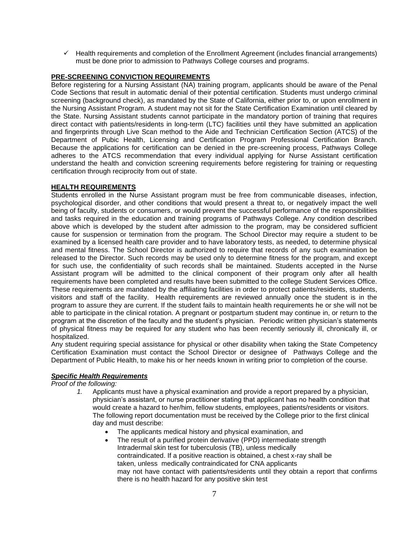$\checkmark$  Health requirements and completion of the Enrollment Agreement (includes financial arrangements) must be done prior to admission to Pathways College courses and programs.

#### **PRE-SCREENING CONVICTION REQUIREMENTS**

Before registering for a Nursing Assistant (NA) training program, applicants should be aware of the Penal Code Sections that result in automatic denial of their potential certification. Students must undergo criminal screening (background check), as mandated by the State of California, either prior to, or upon enrollment in the Nursing Assistant Program. A student may not sit for the State Certification Examination until cleared by the State. Nursing Assistant students cannot participate in the mandatory portion of training that requires direct contact with patients/residents in long-term (LTC) facilities until they have submitted an application and fingerprints through Live Scan method to the Aide and Technician Certification Section (ATCS) of the Department of Pubic Health, Licensing and Certification Program Professional Certification Branch. Because the applications for certification can be denied in the pre-screening process, Pathways College adheres to the ATCS recommendation that every individual applying for Nurse Assistant certification understand the health and conviction screening requirements before registering for training or requesting certification through reciprocity from out of state.

#### **HEALTH REQUIREMENTS**

Students enrolled in the Nurse Assistant program must be free from communicable diseases, infection, psychological disorder, and other conditions that would present a threat to, or negatively impact the well being of faculty, students or consumers, or would prevent the successful performance of the responsibilities and tasks required in the education and training programs of Pathways College. Any condition described above which is developed by the student after admission to the program, may be considered sufficient cause for suspension or termination from the program. The School Director may require a student to be examined by a licensed health care provider and to have laboratory tests, as needed, to determine physical and mental fitness. The School Director is authorized to require that records of any such examination be released to the Director. Such records may be used only to determine fitness for the program, and except for such use, the confidentiality of such records shall be maintained. Students accepted in the Nurse Assistant program will be admitted to the clinical component of their program only after all health requirements have been completed and results have been submitted to the college Student Services Office. These requirements are mandated by the affiliating facilities in order to protect patients/residents, students, visitors and staff of the facility. Health requirements are reviewed annually once the student is in the program to assure they are current. If the student fails to maintain health requirements he or she will not be able to participate in the clinical rotation. A pregnant or postpartum student may continue in, or return to the program at the discretion of the faculty and the student's physician. Periodic written physician's statements of physical fitness may be required for any student who has been recently seriously ill, chronically ill, or hospitalized.

Any student requiring special assistance for physical or other disability when taking the State Competency Certification Examination must contact the School Director or designee of Pathways College and the Department of Public Health, to make his or her needs known in writing prior to completion of the course.

## *Specific Health Requirements*

*Proof of the following:*

- *1.* Applicants must have a physical examination and provide a report prepared by a physician, physician's assistant, or nurse practitioner stating that applicant has no health condition that would create a hazard to her/him, fellow students, employees, patients/residents or visitors. The following report documentation must be received by the College prior to the first clinical day and must describe:
	- The applicants medical history and physical examination, and
	- The result of a purified protein derivative (PPD) intermediate strength Intradermal skin test for tuberculosis (TB), unless medically contraindicated. If a positive reaction is obtained, a chest x-ray shall be taken, unless medically contraindicated for CNA applicants may not have contact with patients/residents until they obtain a report that confirms there is no health hazard for any positive skin test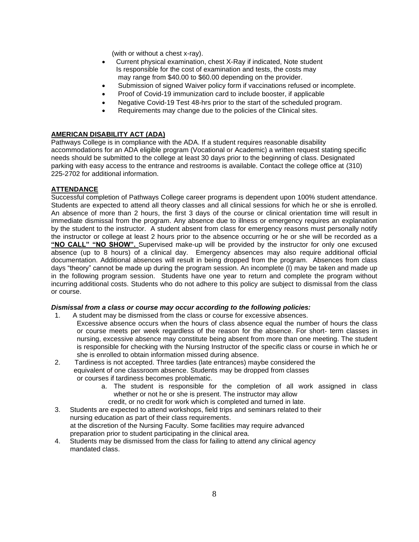(with or without a chest x-ray).

- Current physical examination, chest X-Ray if indicated, Note student Is responsible for the cost of examination and tests, the costs may may range from \$40.00 to \$60.00 depending on the provider.
- Submission of signed Waiver policy form if vaccinations refused or incomplete.
- Proof of Covid-19 immunization card to include booster, if applicable
- Negative Covid-19 Test 48-hrs prior to the start of the scheduled program.
- Requirements may change due to the policies of the Clinical sites.

#### **AMERICAN DISABILITY ACT (ADA)**

Pathways College is in compliance with the ADA. If a student requires reasonable disability accommodations for an ADA eligible program (Vocational or Academic) a written request stating specific needs should be submitted to the college at least 30 days prior to the beginning of class. Designated parking with easy access to the entrance and restrooms is available. Contact the college office at (310) 225-2702 for additional information.

#### **ATTENDANCE**

Successful completion of Pathways College career programs is dependent upon 100% student attendance. Students are expected to attend all theory classes and all clinical sessions for which he or she is enrolled. An absence of more than 2 hours, the first 3 days of the course or clinical orientation time will result in immediate dismissal from the program. Any absence due to illness or emergency requires an explanation by the student to the instructor. A student absent from class for emergency reasons must personally notify the instructor or college at least 2 hours prior to the absence occurring or he or she will be recorded as a **"NO CALL" "NO SHOW".** Supervised make-up will be provided by the instructor for only one excused absence (up to 8 hours) of a clinical day. Emergency absences may also require additional official documentation. Additional absences will result in being dropped from the program. Absences from class days "theory" cannot be made up during the program session. An incomplete (I) may be taken and made up in the following program session. Students have one year to return and complete the program without incurring additional costs. Students who do not adhere to this policy are subject to dismissal from the class or course.

#### *Dismissal from a class or course may occur according to the following policies:*

- 1. A student may be dismissed from the class or course for excessive absences.
	- Excessive absence occurs when the hours of class absence equal the number of hours the class or course meets per week regardless of the reason for the absence. For short- term classes in nursing, excessive absence may constitute being absent from more than one meeting. The student is responsible for checking with the Nursing Instructor of the specific class or course in which he or she is enrolled to obtain information missed during absence.
- 2. Tardiness is not accepted. Three tardies (late entrances) maybe considered the equivalent of one classroom absence. Students may be dropped from classes or courses if tardiness becomes problematic.
	- a. The student is responsible for the completion of all work assigned in class whether or not he or she is present. The instructor may allow
		- credit, or no credit for work which is completed and turned in late.
- 3. Students are expected to attend workshops, field trips and seminars related to their nursing education as part of their class requirements. at the discretion of the Nursing Faculty. Some facilities may require advanced preparation prior to student participating in the clinical area.
- 4. Students may be dismissed from the class for failing to attend any clinical agency mandated class.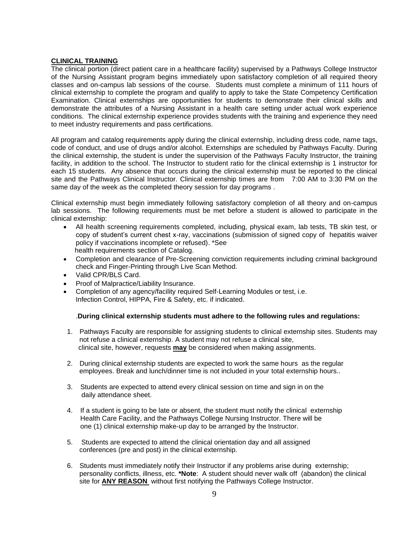#### **CLINICAL TRAINING**

The clinical portion (direct patient care in a healthcare facility) supervised by a Pathways College Instructor of the Nursing Assistant program begins immediately upon satisfactory completion of all required theory classes and on-campus lab sessions of the course. Students must complete a minimum of 111 hours of clinical externship to complete the program and qualify to apply to take the State Competency Certification Examination. Clinical externships are opportunities for students to demonstrate their clinical skills and demonstrate the attributes of a Nursing Assistant in a health care setting under actual work experience conditions. The clinical externship experience provides students with the training and experience they need to meet industry requirements and pass certifications.

All program and catalog requirements apply during the clinical externship, including dress code, name tags, code of conduct, and use of drugs and/or alcohol. Externships are scheduled by Pathways Faculty. During the clinical externship, the student is under the supervision of the Pathways Faculty Instructor, the training facility, in addition to the school. The Instructor to student ratio for the clinical externship is 1 instructor for each 15 students. Any absence that occurs during the clinical externship must be reported to the clinical site and the Pathways Clinical Instructor. Clinical externship times are from 7:00 AM to 3:30 PM on the same day of the week as the completed theory session for day programs .

Clinical externship must begin immediately following satisfactory completion of all theory and on-campus lab sessions. The following requirements must be met before a student is allowed to participate in the clinical externship:

- All health screening requirements completed, including, physical exam, lab tests, TB skin test, or copy of student's current chest x-ray, vaccinations (submission of signed copy of hepatitis waiver policy if vaccinations incomplete or refused). \*See health requirements section of Catalog.
- Completion and clearance of Pre-Screening conviction requirements including criminal background check and Finger-Printing through Live Scan Method.
- Valid CPR/BLS Card.
- Proof of Malpractice/Liability Insurance.
- Completion of any agency/facility required Self-Learning Modules or test, i.e. Infection Control, HIPPA, Fire & Safety, etc. if indicated.

#### .**During clinical externship students must adhere to the following rules and regulations:**

- 1. Pathways Faculty are responsible for assigning students to clinical externship sites. Students may not refuse a clinical externship. A student may not refuse a clinical site, clinical site, however, requests **may** be considered when making assignments.
- 2. During clinical externship students are expected to work the same hours as the regular employees. Break and lunch/dinner time is not included in your total externship hours..
- 3. Students are expected to attend every clinical session on time and sign in on the daily attendance sheet.
- 4. If a student is going to be late or absent, the student must notify the clinical externship Health Care Facility, and the Pathways College Nursing Instructor. There will be one (1) clinical externship make-up day to be arranged by the Instructor.
- 5. Students are expected to attend the clinical orientation day and all assigned conferences (pre and post) in the clinical externship.
- 6. Students must immediately notify their Instructor if any problems arise during externship; personality conflicts, illness, etc. **\*Note**: A student should never walk off (abandon) the clinical site for **ANY REASON** without first notifying the Pathways College Instructor.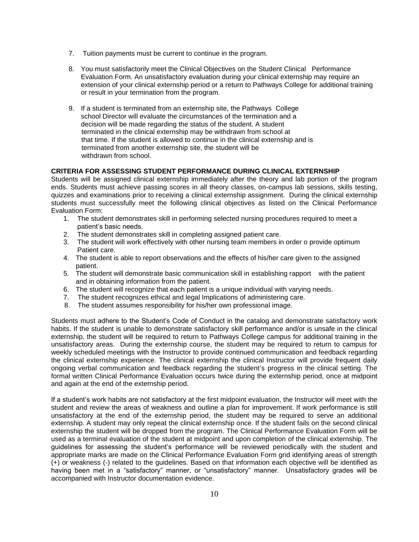- 7. Tuition payments must be current to continue in the program.
- 8. You must satisfactorily meet the Clinical Objectives on the Student Clinical Performance Evaluation Form. An unsatisfactory evaluation during your clinical externship may require an extension of your clinical externship period or a return to Pathways College for additional training or result in your termination from the program.
- 9. If a student is terminated from an externship site, the Pathways College school Director will evaluate the circumstances of the termination and a decision will be made regarding the status of the student. A student terminated in the clinical externship may be withdrawn from school at that time. If the student is allowed to continue in the clinical externship and is terminated from another externship site, the student will be withdrawn from school.

#### **CRITERIA FOR ASSESSING STUDENT PERFORMANCE DURING CLINICAL EXTERNSHIP**

Students will be assigned clinical externship immediately after the theory and lab portion of the program ends. Students must achieve passing scores in all theory classes, on-campus lab sessions, skills testing, quizzes and examinations prior to receiving a clinical externship assignment. During the clinical externship students must successfully meet the following clinical objectives as listed on the Clinical Performance Evaluation Form:

- 1. The student demonstrates skill in performing selected nursing procedures required to meet a patient's basic needs.
- 2. The student demonstrates skill in completing assigned patient care.
- 3. The student will work effectively with other nursing team members in order o provide optimum Patient care.
- 4. The student is able to report observations and the effects of his/her care given to the assigned patient.
- 5. The student will demonstrate basic communication skill in establishing rapport with the patient and in obtaining information from the patient.
- 6. The student will recognize that each patient is a unique individual with varying needs.
- 7. The student recognizes ethical and legal Implications of administering care.
- 8. The student assumes responsibility for his/her own professional image.

Students must adhere to the Student's Code of Conduct in the catalog and demonstrate satisfactory work habits. If the student is unable to demonstrate satisfactory skill performance and/or is unsafe in the clinical externship, the student will be required to return to Pathways College campus for additional training in the unsatisfactory areas. During the externship course, the student may be required to return to campus for weekly scheduled meetings with the Instructor to provide continued communication and feedback regarding the clinical externship experience. The clinical externship the clinical Instructor will provide frequent daily ongoing verbal communication and feedback regarding the student's progress in the clinical setting. The formal written Clinical Performance Evaluation occurs twice during the externship period, once at midpoint and again at the end of the externship period.

If a student's work habits are not satisfactory at the first midpoint evaluation, the Instructor will meet with the student and review the areas of weakness and outline a plan for improvement. If work performance is still unsatisfactory at the end of the externship period, the student may be required to serve an additional externship. A student may only repeat the clinical externship once. If the student fails on the second clinical externship the student will be dropped from the program. The Clinical Performance Evaluation Form will be used as a terminal evaluation of the student at midpoint and upon completion of the clinical externship. The guidelines for assessing the student's performance will be reviewed periodically with the student and appropriate marks are made on the Clinical Performance Evaluation Form grid identifying areas of strength (+) or weakness (-) related to the guidelines. Based on that information each objective will be identified as having been met in a "satisfactory" manner, or "unsatisfactory" manner. Unsatisfactory grades will be accompanied with Instructor documentation evidence.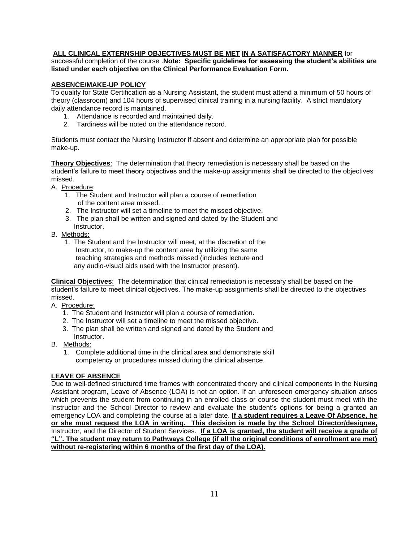#### **ALL CLINICAL EXTERNSHIP OBJECTIVES MUST BE MET IN A SATISFACTORY MANNER** for

successful completion of the course .**Note: Specific guidelines for assessing the student's abilities are listed under each objective on the Clinical Performance Evaluation Form.** 

#### **ABSENCE/MAKE-UP POLICY**

To qualify for State Certification as a Nursing Assistant, the student must attend a minimum of 50 hours of theory (classroom) and 104 hours of supervised clinical training in a nursing facility. A strict mandatory daily attendance record is maintained.

- 1. Attendance is recorded and maintained daily.
- 2. Tardiness will be noted on the attendance record.

Students must contact the Nursing Instructor if absent and determine an appropriate plan for possible make-up.

**Theory Objectives**: The determination that theory remediation is necessary shall be based on the student's failure to meet theory objectives and the make-up assignments shall be directed to the objectives missed.

A. Procedure:

- 1. The Student and Instructor will plan a course of remediation of the content area missed. .
- 2. The Instructor will set a timeline to meet the missed objective.
- 3. The plan shall be written and signed and dated by the Student and
- Instructor.
- B. Methods:
	- 1. The Student and the Instructor will meet, at the discretion of the Instructor, to make-up the content area by utilizing the same teaching strategies and methods missed (includes lecture and any audio-visual aids used with the Instructor present).

**Clinical Objectives**: The determination that clinical remediation is necessary shall be based on the student's failure to meet clinical objectives. The make-up assignments shall be directed to the objectives missed.

- A. Procedure:
	- 1. The Student and Instructor will plan a course of remediation.
	- 2. The Instructor will set a timeline to meet the missed objective.
	- 3. The plan shall be written and signed and dated by the Student and Instructor.
- B. Methods:
	- 1. Complete additional time in the clinical area and demonstrate skill competency or procedures missed during the clinical absence.

## **LEAVE OF ABSENCE**

Due to well-defined structured time frames with concentrated theory and clinical components in the Nursing Assistant program, Leave of Absence (LOA) is not an option. If an unforeseen emergency situation arises which prevents the student from continuing in an enrolled class or course the student must meet with the Instructor and the School Director to review and evaluate the student's options for being a granted an emergency LOA and completing the course at a later date. **If a student requires a Leave Of Absence, he or she must request the LOA in writing. This decision is made by the School Director/designee,** Instructor, and the Director of Student Services. **If a LOA is granted, the student will receive a grade of "L". The student may return to Pathways College (if all the original conditions of enrollment are met) without re-registering within 6 months of the first day of the LOA).**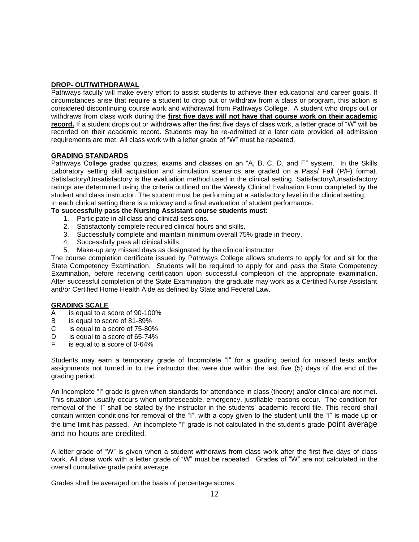#### **DROP- OUT/WITHDRAWAL**

Pathways faculty will make every effort to assist students to achieve their educational and career goals. If circumstances arise that require a student to drop out or withdraw from a class or program, this action is considered discontinuing course work and withdrawal from Pathways College. A student who drops out or withdraws from class work during the **first five days will not have that course work on their academic** record. If a student drops out or withdraws after the first five days of class work, a letter grade of "W" will be recorded on their academic record. Students may be re-admitted at a later date provided all admission requirements are met. All class work with a letter grade of "W" must be repeated.

#### **GRADING STANDARDS**

Pathways College grades quizzes, exams and classes on an "A, B, C, D, and F" system. In the Skills Laboratory setting skill acquisition and simulation scenarios are graded on a Pass/ Fail (P/F) format. Satisfactory/Unsatisfactory is the evaluation method used in the clinical setting. Satisfactory/Unsatisfactory ratings are determined using the criteria outlined on the Weekly Clinical Evaluation Form completed by the student and class instructor. The student must be performing at a satisfactory level in the clinical setting. In each clinical setting there is a midway and a final evaluation of student performance.

#### **To successfully pass the Nursing Assistant course students must:**

- 1. Participate in all class and clinical sessions.
- 2. Satisfactorily complete required clinical hours and skills.
- 3. Successfully complete and maintain minimum overall 75% grade in theory.
- 4. Successfully pass all clinical skills.
- 5. Make-up any missed days as designated by the clinical instructor

The course completion certificate issued by Pathways College allows students to apply for and sit for the State Competency Examination. Students will be required to apply for and pass the State Competency Examination, before receiving certification upon successful completion of the appropriate examination. After successful completion of the State Examination, the graduate may work as a Certified Nurse Assistant and/or Certified Home Health Aide as defined by State and Federal Law.

#### **GRADING SCALE**

- A is equal to a score of 90-100%
- B is equal to score of 81-89%<br>C is equal to a score of 75-80°
- is equal to a score of 75-80%
- D is equal to a score of 65-74%
- F is equal to a score of 0-64%

Students may earn a temporary grade of Incomplete "I" for a grading period for missed tests and/or assignments not turned in to the instructor that were due within the last five (5) days of the end of the grading period.

An Incomplete "I" grade is given when standards for attendance in class (theory) and/or clinical are not met. This situation usually occurs when unforeseeable, emergency, justifiable reasons occur. The condition for removal of the "I" shall be stated by the instructor in the students' academic record file. This record shall contain written conditions for removal of the "I", with a copy given to the student until the "I" is made up or the time limit has passed. An incomplete "I" grade is not calculated in the student's grade point average and no hours are credited.

A letter grade of "W" is given when a student withdraws from class work after the first five days of class work. All class work with a letter grade of "W" must be repeated. Grades of "W" are not calculated in the overall cumulative grade point average.

Grades shall be averaged on the basis of percentage scores.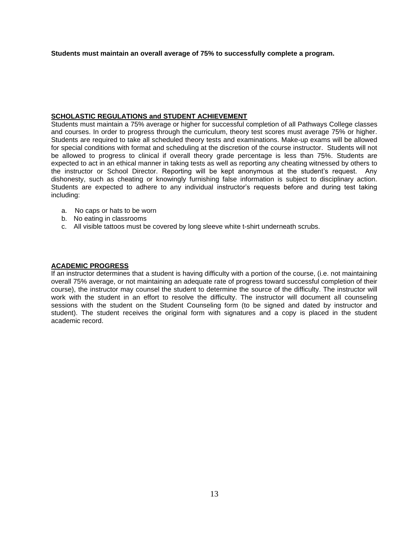**Students must maintain an overall average of 75% to successfully complete a program.**

#### **SCHOLASTIC REGULATIONS and STUDENT ACHIEVEMENT**

Students must maintain a 75% average or higher for successful completion of all Pathways College classes and courses. In order to progress through the curriculum, theory test scores must average 75% or higher. Students are required to take all scheduled theory tests and examinations. Make-up exams will be allowed for special conditions with format and scheduling at the discretion of the course instructor. Students will not be allowed to progress to clinical if overall theory grade percentage is less than 75%. Students are expected to act in an ethical manner in taking tests as well as reporting any cheating witnessed by others to the instructor or School Director. Reporting will be kept anonymous at the student's request. Any dishonesty, such as cheating or knowingly furnishing false information is subject to disciplinary action. Students are expected to adhere to any individual instructor's requests before and during test taking including:

- a. No caps or hats to be worn
- b. No eating in classrooms
- c. All visible tattoos must be covered by long sleeve white t-shirt underneath scrubs.

#### **ACADEMIC PROGRESS**

If an instructor determines that a student is having difficulty with a portion of the course, (i.e. not maintaining overall 75% average, or not maintaining an adequate rate of progress toward successful completion of their course), the instructor may counsel the student to determine the source of the difficulty. The instructor will work with the student in an effort to resolve the difficulty. The instructor will document all counseling sessions with the student on the Student Counseling form (to be signed and dated by instructor and student). The student receives the original form with signatures and a copy is placed in the student academic record.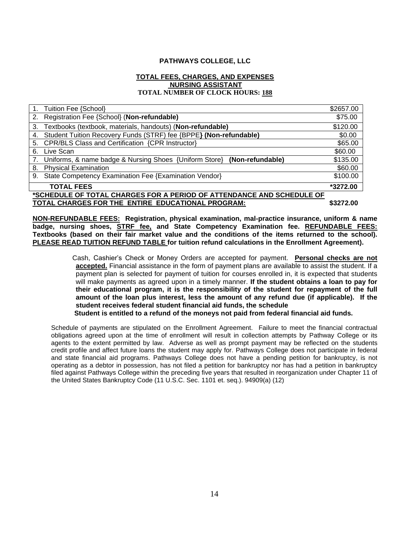#### **PATHWAYS COLLEGE, LLC**

#### **TOTAL FEES, CHARGES, AND EXPENSES NURSING ASSISTANT TOTAL NUMBER OF CLOCK HOURS: 188**

|                                                                       | 1. Tuition Fee {School}                                                    | \$2657.00 |  |
|-----------------------------------------------------------------------|----------------------------------------------------------------------------|-----------|--|
|                                                                       | 2. Registration Fee {School} (Non-refundable)                              | \$75.00   |  |
|                                                                       | 3. Textbooks (textbook, materials, handouts) (Non-refundable)              | \$120.00  |  |
| 4.                                                                    | Student Tuition Recovery Funds (STRF) fee {BPPE} (Non-refundable)          | \$0.00    |  |
| 5.                                                                    | CPR/BLS Class and Certification {CPR Instructor}                           | \$65.00   |  |
| 6.                                                                    | Live Scan                                                                  | \$60.00   |  |
|                                                                       | 7. Uniforms, & name badge & Nursing Shoes {Uniform Store} (Non-refundable) | \$135.00  |  |
|                                                                       | 8. Physical Examination                                                    | \$60.00   |  |
| 9.                                                                    | State Competency Examination Fee {Examination Vendor}                      | \$100.00  |  |
|                                                                       | <b>TOTAL FEES</b>                                                          | *3272.00  |  |
| *SCHEDULE OF TOTAL CHARGES FOR A PERIOD OF ATTENDANCE AND SCHEDULE OF |                                                                            |           |  |
| TOTAL CHARGES FOR THE ENTIRE EDUCATIONAL PROGRAM:                     |                                                                            | \$3272.00 |  |

**NON-REFUNDABLE FEES: Registration, physical examination, mal-practice insurance, uniform & name badge, nursing shoes, STRF fee, and State Competency Examination fee. REFUNDABLE FEES: Textbooks (based on their fair market value and the conditions of the items returned to the school). PLEASE READ TUITION REFUND TABLE for tuition refund calculations in the Enrollment Agreement).** 

> Cash, Cashier's Check or Money Orders are accepted for payment. **Personal checks are not accepted.** Financial assistance in the form of payment plans are available to assist the student. If a payment plan is selected for payment of tuition for courses enrolled in, it is expected that students will make payments as agreed upon in a timely manner. **If the student obtains a loan to pay for their educational program, it is the responsibility of the student for repayment of the full amount of the loan plus interest, less the amount of any refund due (if applicable). If the student receives federal student financial aid funds, the schedule**

 **Student is entitled to a refund of the moneys not paid from federal financial aid funds.** 

Schedule of payments are stipulated on the Enrollment Agreement. Failure to meet the financial contractual obligations agreed upon at the time of enrollment will result in collection attempts by Pathway College or its agents to the extent permitted by law. Adverse as well as prompt payment may be reflected on the students credit profile and affect future loans the student may apply for. Pathways College does not participate in federal and state financial aid programs. Pathways College does not have a pending petition for bankruptcy, is not operating as a debtor in possession, has not filed a petition for bankruptcy nor has had a petition in bankruptcy filed against Pathways College within the preceding five years that resulted in reorganization under Chapter 11 of the United States Bankruptcy Code (11 U.S.C. Sec. 1101 et. seq.). 94909(a) (12)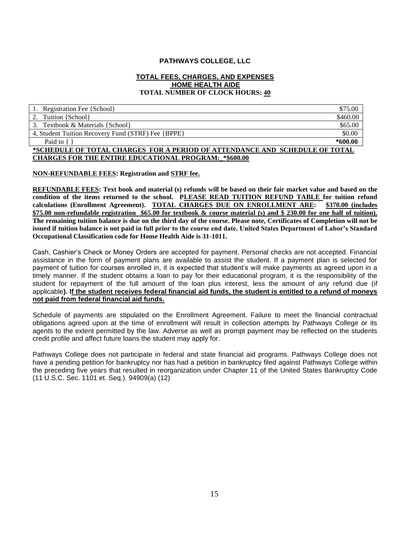#### **PATHWAYS COLLEGE, LLC**

#### **TOTAL FEES, CHARGES, AND EXPENSES HOME HEALTH AIDE TOTAL NUMBER OF CLOCK HOURS: 40**

| 1. Registration Fee {School}                                                | \$75.00   |  |
|-----------------------------------------------------------------------------|-----------|--|
| 2. Tuition {School}                                                         | \$460.00  |  |
| 3. Textbook & Materials {School}                                            | \$65.00   |  |
| 4, Student Tuition Recovery Fund (STRF) Fee {BPPE}                          | \$0.00    |  |
| Paid to {                                                                   | $*600.00$ |  |
| *SCHEDULE OF TOTAL CHARGES FOR A PERIOD OF ATTENDANCE AND SCHEDULE OF TOTAL |           |  |
| <b>CHARGES FOR THE ENTIRE EDUCATIONAL PROGRAM: *\$600.00</b>                |           |  |

#### **NON-REFUNDABLE FEES: Registration and STRF fee.**

**REFUNDABLE FEES: Text book and material (s) refunds will be based on their fair market value and based on the condition of the items returned to the school. PLEASE READ TUITION REFUND TABLE for tuition refund calculations (Enrollment Agreement). TOTAL CHARGES DUE ON ENROLLMENT ARE: \$370.00 (includes \$75.00 non-refundable registration \$65.00 for textbook & course material (s) and \$ 230.00 for one half of tuition). The remaining tuition balance is due on the third day of the course. Please note, Certificates of Completion will not be issued if tuition balance is not paid in full prior to the course end date. United States Department of Labor's Standard Occupational Classification code for Home Health Aide is 31-1011.**

Cash, Cashier's Check or Money Orders are accepted for payment. Personal checks are not accepted. Financial assistance in the form of payment plans are available to assist the student. If a payment plan is selected for payment of tuition for courses enrolled in, it is expected that student's will make payments as agreed upon in a timely manner. If the student obtains a loan to pay for their educational program, it is the responsibility of the student for repayment of the full amount of the loan plus interest, less the amount of any refund due (if applicable**). If the student receives federal financial aid funds, the student is entitled to a refund of moneys not paid from federal financial aid funds.**

Schedule of payments are stipulated on the Enrollment Agreement. Failure to meet the financial contractual obligations agreed upon at the time of enrollment will result in collection attempts by Pathways College or its agents to the extent permitted by the law. Adverse as well as prompt payment may be reflected on the students credit profile and affect future loans the student may apply for.

Pathways College does not participate in federal and state financial aid programs. Pathways College does not have a pending petition for bankruptcy nor has had a petition in bankruptcy filed against Pathways College within the preceding five years that resulted in reorganization under Chapter 11 of the United States Bankruptcy Code (11 U.S.C. Sec. 1101 et. Seq.). 94909(a) (12)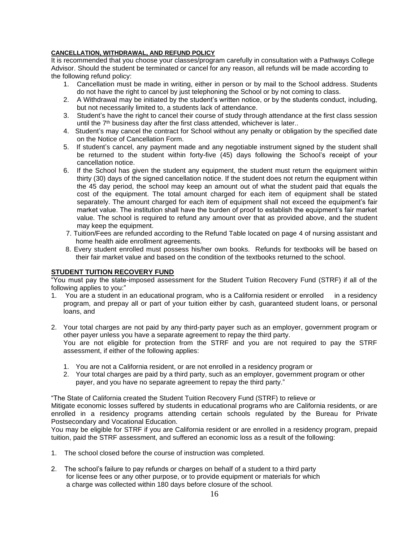#### **CANCELLATION, WITHDRAWAL, AND REFUND POLICY**

It is recommended that you choose your classes/program carefully in consultation with a Pathways College Advisor. Should the student be terminated or cancel for any reason, all refunds will be made according to the following refund policy:

- 1. Cancellation must be made in writing, either in person or by mail to the School address. Students do not have the right to cancel by just telephoning the School or by not coming to class.
- 2. A Withdrawal may be initiated by the student's written notice, or by the students conduct, including, but not necessarily limited to, a students lack of attendance.
- 3. Student's have the right to cancel their course of study through attendance at the first class session until the  $7<sup>th</sup>$  business day after the first class attended, whichever is later..
- 4. Student's may cancel the contract for School without any penalty or obligation by the specified date on the Notice of Cancellation Form.
- 5. If student's cancel, any payment made and any negotiable instrument signed by the student shall be returned to the student within forty-five (45) days following the School's receipt of your cancellation notice.
- 6. If the School has given the student any equipment, the student must return the equipment within thirty (30) days of the signed cancellation notice. If the student does not return the equipment within the 45 day period, the school may keep an amount out of what the student paid that equals the cost of the equipment. The total amount charged for each item of equipment shall be stated separately. The amount charged for each item of equipment shall not exceed the equipment's fair market value. The institution shall have the burden of proof to establish the equipment's fair market value. The school is required to refund any amount over that as provided above, and the student may keep the equipment.
- 7. Tuition/Fees are refunded according to the Refund Table located on page 4 of nursing assistant and home health aide enrollment agreements.
- 8. Every student enrolled must possess his/her own books. Refunds for textbooks will be based on their fair market value and based on the condition of the textbooks returned to the school.

## **STUDENT TUITION RECOVERY FUND**

"You must pay the state-imposed assessment for the Student Tuition Recovery Fund (STRF) if all of the following applies to you:"

- 1. You are a student in an educational program, who is a California resident or enrolled in a residency program, and prepay all or part of your tuition either by cash, guaranteed student loans, or personal loans, and
- 2. Your total charges are not paid by any third-party payer such as an employer, government program or other payer unless you have a separate agreement to repay the third party. You are not eligible for protection from the STRF and you are not required to pay the STRF assessment, if either of the following applies:
	- 1. You are not a California resident, or are not enrolled in a residency program or
	- 2. Your total charges are paid by a third party, such as an employer, government program or other payer, and you have no separate agreement to repay the third party."

"The State of California created the Student Tuition Recovery Fund (STRF) to relieve or

Mitigate economic losses suffered by students in educational programs who are California residents, or are enrolled in a residency programs attending certain schools regulated by the Bureau for Private Postsecondary and Vocational Education.

You may be eligible for STRF if you are California resident or are enrolled in a residency program, prepaid tuition, paid the STRF assessment, and suffered an economic loss as a result of the following:

- 1. The school closed before the course of instruction was completed.
- 2. The school's failure to pay refunds or charges on behalf of a student to a third party for license fees or any other purpose, or to provide equipment or materials for which a charge was collected within 180 days before closure of the school.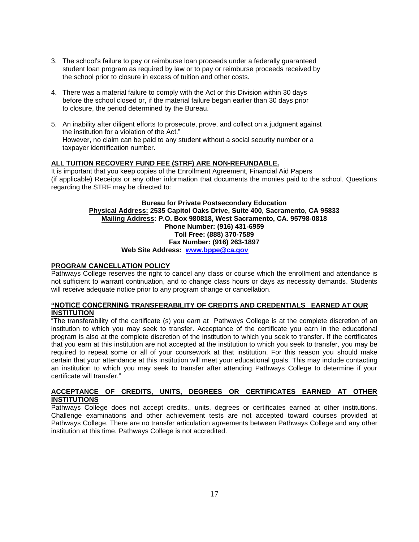- 3. The school's failure to pay or reimburse loan proceeds under a federally guaranteed student loan program as required by law or to pay or reimburse proceeds received by the school prior to closure in excess of tuition and other costs.
- 4. There was a material failure to comply with the Act or this Division within 30 days before the school closed or, if the material failure began earlier than 30 days prior to closure, the period determined by the Bureau.
- 5. An inability after diligent efforts to prosecute, prove, and collect on a judgment against the institution for a violation of the Act." However, no claim can be paid to any student without a social security number or a taxpayer identification number.

#### **ALL TUITION RECOVERY FUND FEE (STRF) ARE NON-REFUNDABLE.**

It is important that you keep copies of the Enrollment Agreement, Financial Aid Papers (if applicable) Receipts or any other information that documents the monies paid to the school. Questions regarding the STRF may be directed to:

#### **Bureau for Private Postsecondary Education Physical Address: 2535 Capitol Oaks Drive, Suite 400, Sacramento, CA 95833 Mailing Address: P.O. Box 980818, West Sacramento, CA. 95798-0818 Phone Number: (916) 431-6959 Toll Free: (888) 370-7589 Fax Number: (916) 263-1897 Web Site Address: www.bppe@ca.gov**

#### **PROGRAM CANCELLATION POLICY**

Pathways College reserves the right to cancel any class or course which the enrollment and attendance is not sufficient to warrant continuation, and to change class hours or days as necessity demands. Students will receive adequate notice prior to any program change or cancellation.

#### **"NOTICE CONCERNING TRANSFERABILITY OF CREDITS AND CREDENTIALS EARNED AT OUR INSTITUTION**

"The transferability of the certificate (s) you earn at Pathways College is at the complete discretion of an institution to which you may seek to transfer. Acceptance of the certificate you earn in the educational program is also at the complete discretion of the institution to which you seek to transfer. If the certificates that you earn at this institution are not accepted at the institution to which you seek to transfer, you may be required to repeat some or all of your coursework at that institution. For this reason you should make certain that your attendance at this institution will meet your educational goals. This may include contacting an institution to which you may seek to transfer after attending Pathways College to determine if your certificate will transfer."

#### **ACCEPTANCE OF CREDITS, UNITS, DEGREES OR CERTIFICATES EARNED AT OTHER INSTITUTIONS**

Pathways College does not accept credits., units, degrees or certificates earned at other institutions. Challenge examinations and other achievement tests are not accepted toward courses provided at Pathways College. There are no transfer articulation agreements between Pathways College and any other institution at this time. Pathways College is not accredited.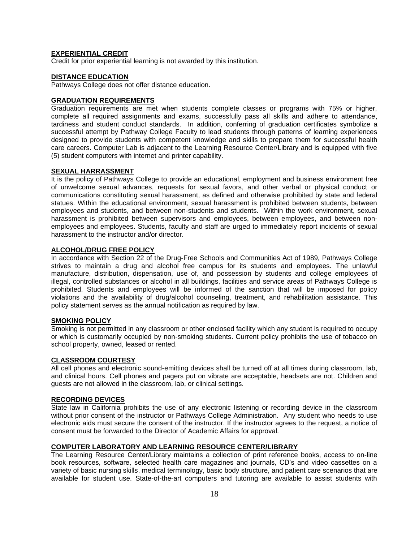#### **EXPERIENTIAL CREDIT**

Credit for prior experiential learning is not awarded by this institution.

#### **DISTANCE EDUCATION**

Pathways College does not offer distance education.

#### **GRADUATION REQUIREMENTS**

Graduation requirements are met when students complete classes or programs with 75% or higher, complete all required assignments and exams, successfully pass all skills and adhere to attendance, tardiness and student conduct standards. In addition, conferring of graduation certificates symbolize a successful attempt by Pathway College Faculty to lead students through patterns of learning experiences designed to provide students with competent knowledge and skills to prepare them for successful health care careers. Computer Lab is adjacent to the Learning Resource Center/Library and is equipped with five (5) student computers with internet and printer capability.

#### **SEXUAL HARRASSMENT**

It is the policy of Pathways College to provide an educational, employment and business environment free of unwelcome sexual advances, requests for sexual favors, and other verbal or physical conduct or communications constituting sexual harassment, as defined and otherwise prohibited by state and federal statues. Within the educational environment, sexual harassment is prohibited between students, between employees and students, and between non-students and students. Within the work environment, sexual harassment is prohibited between supervisors and employees, between employees, and between nonemployees and employees. Students, faculty and staff are urged to immediately report incidents of sexual harassment to the instructor and/or director.

#### **ALCOHOL/DRUG FREE POLICY**

In accordance with Section 22 of the Drug-Free Schools and Communities Act of 1989, Pathways College strives to maintain a drug and alcohol free campus for its students and employees. The unlawful manufacture, distribution, dispensation, use of, and possession by students and college employees of illegal, controlled substances or alcohol in all buildings, facilities and service areas of Pathways College is prohibited. Students and employees will be informed of the sanction that will be imposed for policy violations and the availability of drug/alcohol counseling, treatment, and rehabilitation assistance. This policy statement serves as the annual notification as required by law.

#### **SMOKING POLICY**

Smoking is not permitted in any classroom or other enclosed facility which any student is required to occupy or which is customarily occupied by non-smoking students. Current policy prohibits the use of tobacco on school property, owned, leased or rented.

#### **CLASSROOM COURTESY**

All cell phones and electronic sound-emitting devices shall be turned off at all times during classroom, lab, and clinical hours. Cell phones and pagers put on vibrate are acceptable, headsets are not. Children and guests are not allowed in the classroom, lab, or clinical settings.

#### **RECORDING DEVICES**

State law in California prohibits the use of any electronic listening or recording device in the classroom without prior consent of the instructor or Pathways College Administration. Any student who needs to use electronic aids must secure the consent of the instructor. If the instructor agrees to the request, a notice of consent must be forwarded to the Director of Academic Affairs for approval.

#### **COMPUTER LABORATORY AND LEARNING RESOURCE CENTER/LIBRARY**

The Learning Resource Center/Library maintains a collection of print reference books, access to on-line book resources, software, selected health care magazines and journals, CD's and video cassettes on a variety of basic nursing skills, medical terminology, basic body structure, and patient care scenarios that are available for student use. State-of-the-art computers and tutoring are available to assist students with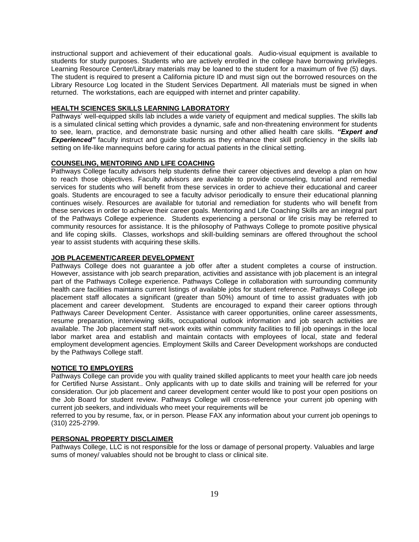instructional support and achievement of their educational goals. Audio-visual equipment is available to students for study purposes. Students who are actively enrolled in the college have borrowing privileges. Learning Resource Center/Library materials may be loaned to the student for a maximum of five (5) days. The student is required to present a California picture ID and must sign out the borrowed resources on the Library Resource Log located in the Student Services Department. All materials must be signed in when returned. The workstations, each are equipped with internet and printer capability.

#### **HEALTH SCIENCES SKILLS LEARNING LABORATORY**

Pathways' well-equipped skills lab includes a wide variety of equipment and medical supplies. The skills lab is a simulated clinical setting which provides a dynamic, safe and non-threatening environment for students to see, learn, practice, and demonstrate basic nursing and other allied health care skills. *"Expert and* **Experienced**" faculty instruct and quide students as they enhance their skill proficiency in the skills lab setting on life-like mannequins before caring for actual patients in the clinical setting.

#### **COUNSELING, MENTORING AND LIFE COACHING**

Pathways College faculty advisors help students define their career objectives and develop a plan on how to reach those objectives. Faculty advisors are available to provide counseling, tutorial and remedial services for students who will benefit from these services in order to achieve their educational and career goals. Students are encouraged to see a faculty advisor periodically to ensure their educational planning continues wisely. Resources are available for tutorial and remediation for students who will benefit from these services in order to achieve their career goals. Mentoring and Life Coaching Skills are an integral part of the Pathways College experience. Students experiencing a personal or life crisis may be referred to community resources for assistance. It is the philosophy of Pathways College to promote positive physical and life coping skills. Classes, workshops and skill-building seminars are offered throughout the school year to assist students with acquiring these skills.

#### **JOB PLACEMENT/CAREER DEVELOPMENT**

Pathways College does not guarantee a job offer after a student completes a course of instruction. However, assistance with job search preparation, activities and assistance with job placement is an integral part of the Pathways College experience. Pathways College in collaboration with surrounding community health care facilities maintains current listings of available jobs for student reference. Pathways College job placement staff allocates a significant (greater than 50%) amount of time to assist graduates with job placement and career development. Students are encouraged to expand their career options through Pathways Career Development Center. Assistance with career opportunities, online career assessments, resume preparation, interviewing skills, occupational outlook information and job search activities are available. The Job placement staff net-work exits within community facilities to fill job openings in the local labor market area and establish and maintain contacts with employees of local, state and federal employment development agencies. Employment Skills and Career Development workshops are conducted by the Pathways College staff.

#### **NOTICE TO EMPLOYERS**

Pathways College can provide you with quality trained skilled applicants to meet your health care job needs for Certified Nurse Assistant.. Only applicants with up to date skills and training will be referred for your consideration. Our job placement and career development center would like to post your open positions on the Job Board for student review. Pathways College will cross-reference your current job opening with current job seekers, and individuals who meet your requirements will be

referred to you by resume, fax, or in person. Please FAX any information about your current job openings to (310) 225-2799.

#### **PERSONAL PROPERTY DISCLAIMER**

Pathways College, LLC is not responsible for the loss or damage of personal property. Valuables and large sums of money/ valuables should not be brought to class or clinical site.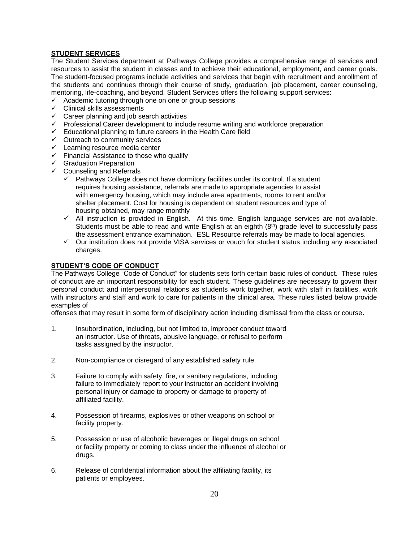#### **STUDENT SERVICES**

The Student Services department at Pathways College provides a comprehensive range of services and resources to assist the student in classes and to achieve their educational, employment, and career goals. The student-focused programs include activities and services that begin with recruitment and enrollment of the students and continues through their course of study, graduation, job placement, career counseling, mentoring, life-coaching, and beyond. Student Services offers the following support services:

- $\checkmark$  Academic tutoring through one on one or group sessions
- ✓ Clinical skills assessments
- $\checkmark$  Career planning and job search activities
- ✓ Professional Career development to include resume writing and workforce preparation
- $\checkmark$  Educational planning to future careers in the Health Care field
- ✓ Outreach to community services
- ✓ Learning resource media center
- ✓ Financial Assistance to those who qualify
- ✓ Graduation Preparation
- $\checkmark$  Counseling and Referrals
	- Pathways College does not have dormitory facilities under its control. If a student requires housing assistance, referrals are made to appropriate agencies to assist with emergency housing, which may include area apartments, rooms to rent and/or shelter placement. Cost for housing is dependent on student resources and type of housing obtained, may range monthly
	- ✓ All instruction is provided in English. At this time, English language services are not available. Students must be able to read and write English at an eighth  $(8<sup>th</sup>)$  grade level to successfully pass the assessment entrance examination. ESL Resource referrals may be made to local agencies.
	- ✓ Our institution does not provide VISA services or vouch for student status including any associated charges.

## **STUDENT'S CODE OF CONDUCT**

The Pathways College "Code of Conduct" for students sets forth certain basic rules of conduct. These rules of conduct are an important responsibility for each student. These guidelines are necessary to govern their personal conduct and interpersonal relations as students work together, work with staff in facilities, work with instructors and staff and work to care for patients in the clinical area. These rules listed below provide examples of

offenses that may result in some form of disciplinary action including dismissal from the class or course.

- 1. Insubordination, including, but not limited to, improper conduct toward an instructor. Use of threats, abusive language, or refusal to perform tasks assigned by the instructor.
- 2. Non-compliance or disregard of any established safety rule.
- 3. Failure to comply with safety, fire, or sanitary regulations, including failure to immediately report to your instructor an accident involving personal injury or damage to property or damage to property of affiliated facility.
- 4. Possession of firearms, explosives or other weapons on school or facility property.
- 5. Possession or use of alcoholic beverages or illegal drugs on school or facility property or coming to class under the influence of alcohol or drugs.
- 6. Release of confidential information about the affiliating facility, its patients or employees.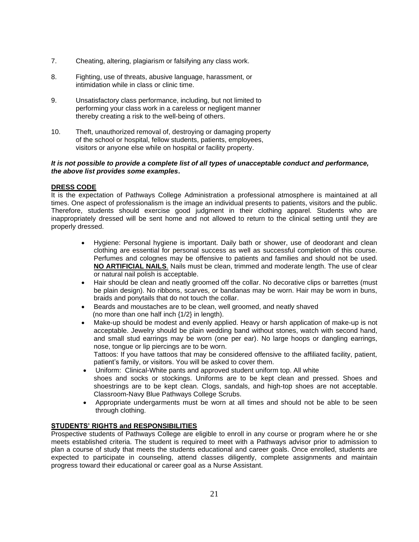- 7. Cheating, altering, plagiarism or falsifying any class work.
- 8. Fighting, use of threats, abusive language, harassment, or intimidation while in class or clinic time.
- 9. Unsatisfactory class performance, including, but not limited to performing your class work in a careless or negligent manner thereby creating a risk to the well-being of others.
- 10. Theft, unauthorized removal of, destroying or damaging property of the school or hospital, fellow students, patients, employees, visitors or anyone else while on hospital or facility property.

#### *It is not possible to provide a complete list of all types of unacceptable conduct and performance, the above list provides some examples***.**

#### **DRESS CODE**

It is the expectation of Pathways College Administration a professional atmosphere is maintained at all times. One aspect of professionalism is the image an individual presents to patients, visitors and the public. Therefore, students should exercise good judgment in their clothing apparel. Students who are inappropriately dressed will be sent home and not allowed to return to the clinical setting until they are properly dressed.

- Hygiene: Personal hygiene is important. Daily bath or shower, use of deodorant and clean clothing are essential for personal success as well as successful completion of this course. Perfumes and colognes may be offensive to patients and families and should not be used. **NO ARTIFICIAL NAILS**. Nails must be clean, trimmed and moderate length. The use of clear or natural nail polish is acceptable.
- Hair should be clean and neatly groomed off the collar. No decorative clips or barrettes (must be plain design). No ribbons, scarves, or bandanas may be worn. Hair may be worn in buns, braids and ponytails that do not touch the collar.
- Beards and moustaches are to be clean, well groomed, and neatly shaved (no more than one half inch {1/2} in length).
- Make-up should be modest and evenly applied. Heavy or harsh application of make-up is not acceptable. Jewelry should be plain wedding band without stones, watch with second hand, and small stud earrings may be worn (one per ear). No large hoops or dangling earrings, nose, tongue or lip piercings are to be worn. Tattoos: If you have tattoos that may be considered offensive to the affiliated facility, patient, patient's family, or visitors. You will be asked to cover them.
- Uniform: Clinical-White pants and approved student uniform top. All white shoes and socks or stockings. Uniforms are to be kept clean and pressed. Shoes and shoestrings are to be kept clean. Clogs, sandals, and high-top shoes are not acceptable. Classroom-Navy Blue Pathways College Scrubs.
- Appropriate undergarments must be worn at all times and should not be able to be seen through clothing.

#### **STUDENTS' RIGHTS and RESPONSIBILITIES**

Prospective students of Pathways College are eligible to enroll in any course or program where he or she meets established criteria. The student is required to meet with a Pathways advisor prior to admission to plan a course of study that meets the students educational and career goals. Once enrolled, students are expected to participate in counseling, attend classes diligently, complete assignments and maintain progress toward their educational or career goal as a Nurse Assistant.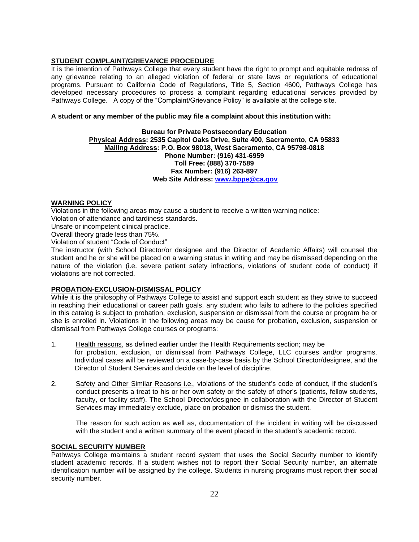#### **STUDENT COMPLAINT/GRIEVANCE PROCEDURE**

It is the intention of Pathways College that every student have the right to prompt and equitable redress of any grievance relating to an alleged violation of federal or state laws or regulations of educational programs. Pursuant to California Code of Regulations, Title 5, Section 4600, Pathways College has developed necessary procedures to process a complaint regarding educational services provided by Pathways College. A copy of the "Complaint/Grievance Policy" is available at the college site.

#### **A student or any member of the public may file a complaint about this institution with:**

#### **Bureau for Private Postsecondary Education Physical Address: 2535 Capitol Oaks Drive, Suite 400, Sacramento, CA 95833 Mailing Address: P.O. Box 98018, West Sacramento, CA 95798-0818 Phone Number: (916) 431-6959 Toll Free: (888) 370-7589 Fax Number: (916) 263-897 Web Site Address: www.bppe@ca.gov**

#### **WARNING POLICY**

Violations in the following areas may cause a student to receive a written warning notice: Violation of attendance and tardiness standards.

Unsafe or incompetent clinical practice.

Overall theory grade less than 75%.

Violation of student "Code of Conduct"

The instructor (with School Director/or designee and the Director of Academic Affairs) will counsel the student and he or she will be placed on a warning status in writing and may be dismissed depending on the nature of the violation (i.e. severe patient safety infractions, violations of student code of conduct) if violations are not corrected.

## **PROBATION-EXCLUSION-DISMISSAL POLICY**

While it is the philosophy of Pathways College to assist and support each student as they strive to succeed in reaching their educational or career path goals, any student who fails to adhere to the policies specified in this catalog is subject to probation, exclusion, suspension or dismissal from the course or program he or she is enrolled in. Violations in the following areas may be cause for probation, exclusion, suspension or dismissal from Pathways College courses or programs:

- 1. Health reasons, as defined earlier under the Health Requirements section; may be for probation, exclusion, or dismissal from Pathways College, LLC courses and/or programs. Individual cases will be reviewed on a case-by-case basis by the School Director/designee, and the Director of Student Services and decide on the level of discipline.
- 2. Safety and Other Similar Reasons i.e., violations of the student's code of conduct, if the student's conduct presents a treat to his or her own safety or the safety of other's (patients, fellow students, faculty, or facility staff). The School Director/designee in collaboration with the Director of Student Services may immediately exclude, place on probation or dismiss the student.

The reason for such action as well as, documentation of the incident in writing will be discussed with the student and a written summary of the event placed in the student's academic record.

#### **SOCIAL SECURITY NUMBER**

Pathways College maintains a student record system that uses the Social Security number to identify student academic records. If a student wishes not to report their Social Security number, an alternate identification number will be assigned by the college. Students in nursing programs must report their social security number.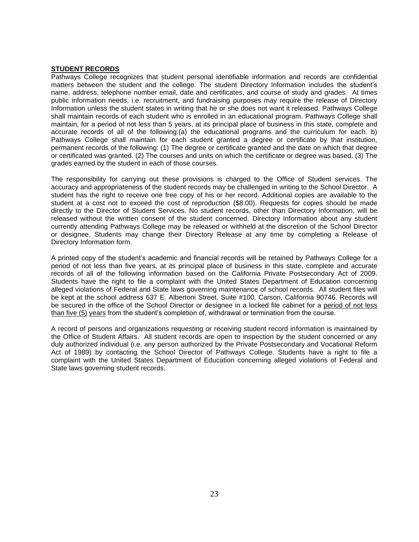#### **STUDENT RECORDS**

Pathways College recognizes that student personal identifiable information and records are confidential matters between the student and the college. The student Directory Information includes the student's name, address, telephone number email, date and certificates, and course of study and grades. At times public information needs, i.e. recruitment, and fundraising purposes may require the release of Directory Information unless the student states in writing that he or she does not want it released. Pathways College shall maintain records of each student who is enrolled in an educational program. Pathways College shall maintain, for a period of not less than 5 years, at its principal place of business in this state, complete and accurate records of all of the following:(a) the educational programs and the curriculum for each. b) Pathways College shall maintain for each student granted a degree or certificate by that institution, permanent records of the following: (1) The degree or certificate granted and the date on which that degree or certificated was granted. (2) The courses and units on which the certificate or degree was based. (3) The grades earned by the student in each of those courses.

The responsibility for carrying out these provisions is charged to the Office of Student services. The accuracy and appropriateness of the student records may be challenged in writing to the School Director. A student has the right to receive one free copy of his or her record. Additional copies are available to the student at a cost not to exceed the cost of reproduction (\$8.00). Requests for copies should be made directly to the Director of Student Services. No student records, other than Directory Information, will be released without the written consent of the student concerned. Directory Information about any student currently attending Pathways College may be released or withheld at the discretion of the School Director or designee. Students may change their Directory Release at any time by completing a Release of Directory Information form.

A printed copy of the student's academic and financial records will be retained by Pathways College for a period of not less than five years, at its principal place of business in this state, complete and accurate records of all of the following information based on the California Private Postsecondary Act of 2009. Students have the right to file a complaint with the United States Department of Education concerning alleged violations of Federal and State laws governing maintenance of school records. All student files will be kept at the school address 637 E. Albertoni Street, Suite #100, Carson, California 90746. Records will be secured in the office of the School Director or designee in a locked file cabinet for a period of not less than five (5) years from the student's completion of, withdrawal or termination from the course.

A record of persons and organizations requesting or receiving student record information is maintained by the Office of Student Affairs. All student records are open to inspection by the student concerned or any duly authorized individual (i.e. any person authorized by the Private Postsecondary and Vocational Reform Act of 1989) by contacting the School Director of Pathways College. Students have a right to file a complaint with the United States Department of Education concerning alleged violations of Federal and State laws governing student records.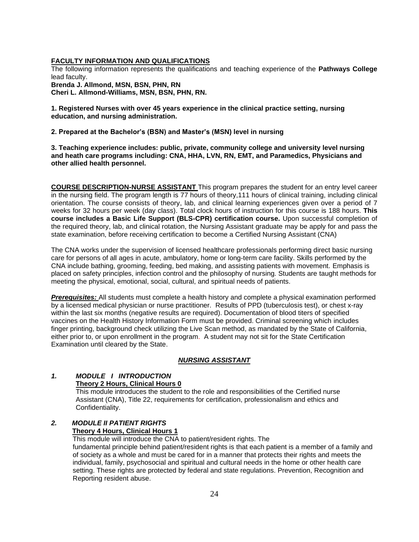#### **FACULTY INFORMATION AND QUALIFICATIONS**

The following information represents the qualifications and teaching experience of the **Pathways College** lead faculty.

**Brenda J. Allmond, MSN, BSN, PHN, RN Cheri L. Allmond-Williams, MSN, BSN, PHN, RN.**

**1. Registered Nurses with over 45 years experience in the clinical practice setting, nursing education, and nursing administration.**

**2. Prepared at the Bachelor's (BSN) and Master's (MSN) level in nursing**

**3. Teaching experience includes: public, private, community college and university level nursing and heath care programs including: CNA, HHA, LVN, RN, EMT, and Paramedics, Physicians and other allied health personnel.**

**COURSE DESCRIPTION-NURSE ASSISTANT** This program prepares the student for an entry level career in the nursing field. The program length is 77 hours of theory,111 hours of clinical training, including clinical orientation. The course consists of theory, lab, and clinical learning experiences given over a period of 7 weeks for 32 hours per week (day class). Total clock hours of instruction for this course is 188 hours. **This course includes a Basic Life Support (BLS-CPR) certification course.** Upon successful completion of the required theory, lab, and clinical rotation, the Nursing Assistant graduate may be apply for and pass the state examination, before receiving certification to become a Certified Nursing Assistant (CNA)

The CNA works under the supervision of licensed healthcare professionals performing direct basic nursing care for persons of all ages in acute, ambulatory, home or long-term care facility. Skills performed by the CNA include bathing, grooming, feeding, bed making, and assisting patients with movement. Emphasis is placed on safety principles, infection control and the philosophy of nursing. Students are taught methods for meeting the physical, emotional, social, cultural, and spiritual needs of patients.

*Prerequisites:* All students must complete a health history and complete a physical examination performed by a licensed medical physician or nurse practitioner. Results of PPD (tuberculosis test), or chest x-ray within the last six months (negative results are required). Documentation of blood titers of specified vaccines on the Health History Information Form must be provided. Criminal screening which includes finger printing, background check utilizing the Live Scan method, as mandated by the State of California, either prior to, or upon enrollment in the program. A student may not sit for the State Certification Examination until cleared by the State.

#### *NURSING ASSISTANT*

#### *1. MODULE I INTRODUCTION* **Theory 2 Hours, Clinical Hours 0**

 This module introduces the student to the role and responsibilities of the Certified nurse Assistant (CNA), Title 22, requirements for certification, professionalism and ethics and Confidentiality.

#### *2. MODULE II PATIENT RIGHTS* **Theory 4 Hours, Clinical Hours 1**

This module will introduce the CNA to patient/resident rights. The fundamental principle behind patient/resident rights is that each patient is a member of a family and of society as a whole and must be cared for in a manner that protects their rights and meets the individual, family, psychosocial and spiritual and cultural needs in the home or other health care setting. These rights are protected by federal and state regulations. Prevention, Recognition and Reporting resident abuse.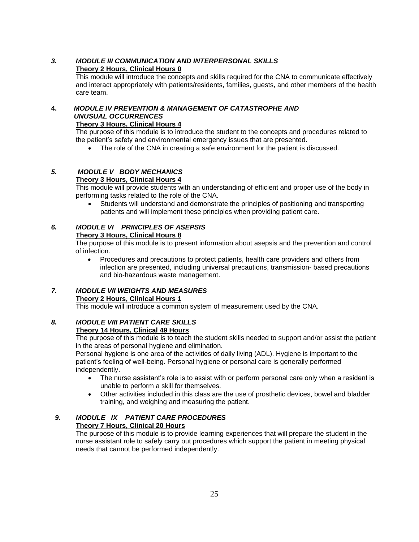## *3. MODULE III COMMUNICATION AND INTERPERSONAL SKILLS* **Theory 2 Hours, Clinical Hours 0**

This module will introduce the concepts and skills required for the CNA to communicate effectively and interact appropriately with patients/residents, families, guests, and other members of the health care team.

## **4.** *MODULE IV PREVENTION & MANAGEMENT OF CATASTROPHE AND UNUSUAL OCCURRENCES*

## **Theory 3 Hours, Clinical Hours 4**

The purpose of this module is to introduce the student to the concepts and procedures related to the patient's safety and environmental emergency issues that are presented.

The role of the CNA in creating a safe environment for the patient is discussed.

## *5. MODULE V BODY MECHANICS*

## **Theory 3 Hours, Clinical Hours 4**

This module will provide students with an understanding of efficient and proper use of the body in performing tasks related to the role of the CNA.

• Students will understand and demonstrate the principles of positioning and transporting patients and will implement these principles when providing patient care.

## *6. MODULE VI PRINCIPLES OF ASEPSIS*

## **Theory 3 Hours, Clinical Hours 8**

The purpose of this module is to present information about asepsis and the prevention and control of infection.

• Procedures and precautions to protect patients, health care providers and others from infection are presented, including universal precautions, transmission- based precautions and bio-hazardous waste management.

## *7. MODULE VII WEIGHTS AND MEASURES*

## **Theory 2 Hours, Clinical Hours 1**

This module will introduce a common system of measurement used by the CNA.

## *8. MODULE VIII PATIENT CARE SKILLS*

## **Theory 14 Hours, Clinical 49 Hours**

The purpose of this module is to teach the student skills needed to support and/or assist the patient in the areas of personal hygiene and elimination.

Personal hygiene is one area of the activities of daily living (ADL). Hygiene is important to the patient's feeling of well-being. Personal hygiene or personal care is generally performed independently.

- The nurse assistant's role is to assist with or perform personal care only when a resident is unable to perform a skill for themselves.
- Other activities included in this class are the use of prosthetic devices, bowel and bladder training, and weighing and measuring the patient.

## *9. MODULE IX PATIENT CARE PROCEDURES*

## **Theory 7 Hours, Clinical 20 Hours**

The purpose of this module is to provide learning experiences that will prepare the student in the nurse assistant role to safely carry out procedures which support the patient in meeting physical needs that cannot be performed independently.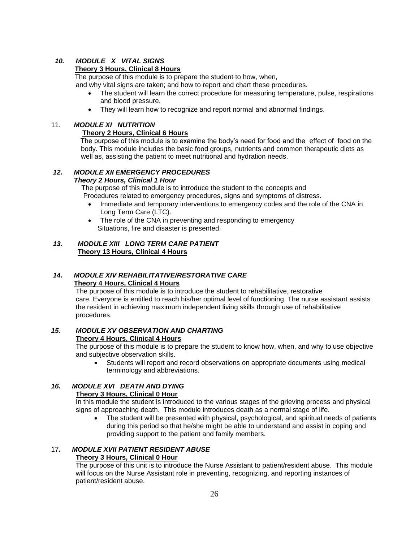## *10. MODULE X VITAL SIGNS*

### **Theory 3 Hours, Clinical 8 Hours**

The purpose of this module is to prepare the student to how, when,

and why vital signs are taken; and how to report and chart these procedures.

- The student will learn the correct procedure for measuring temperature, pulse, respirations and blood pressure.
- They will learn how to recognize and report normal and abnormal findings.

#### 11. *MODULE XI NUTRITION*

#### **Theory 2 Hours, Clinical 6 Hours**

 The purpose of this module is to examine the body's need for food and the effect of food on the body. This module includes the basic food groups, nutrients and common therapeutic diets as well as, assisting the patient to meet nutritional and hydration needs.

#### *12. MODULE XII EMERGENCY PROCEDURES*

## *Theory 2 Hours, Clinical 1 Hour*

 The purpose of this module is to introduce the student to the concepts and Procedures related to emergency procedures, signs and symptoms of distress.

- Immediate and temporary interventions to emergency codes and the role of the CNA in Long Term Care (LTC).
- The role of the CNA in preventing and responding to emergency Situations, fire and disaster is presented.

#### *13. MODULE XIII LONG TERM CARE PATIENT* **Theory 13 Hours, Clinical 4 Hours**

## *14. MODULE XIV REHABILITATIVE/RESTORATIVE CARE*   **Theory 4 Hours, Clinical 4 Hours**

The purpose of this module is to introduce the student to rehabilitative, restorative care. Everyone is entitled to reach his/her optimal level of functioning. The nurse assistant assists the resident in achieving maximum independent living skills through use of rehabilitative procedures.

#### *15. MODULE XV OBSERVATION AND CHARTING* **Theory 4 Hours, Clinical 4 Hours**

The purpose of this module is to prepare the student to know how, when, and why to use objective

#### and subjective observation skills.

• Students will report and record observations on appropriate documents using medical terminology and abbreviations.

## *16. MODULE XVI DEATH AND DYING*

## **Theory 3 Hours, Clinical 0 Hour**

In this module the student is introduced to the various stages of the grieving process and physical signs of approaching death. This module introduces death as a normal stage of life.

• The student will be presented with physical, psychological, and spiritual needs of patients during this period so that he/she might be able to understand and assist in coping and providing support to the patient and family members.

## 17*. MODULE XVII PATIENT RESIDENT ABUSE*

## **Theory 3 Hours, Clinical 0 Hour**

The purpose of this unit is to introduce the Nurse Assistant to patient/resident abuse. This module will focus on the Nurse Assistant role in preventing, recognizing, and reporting instances of patient/resident abuse.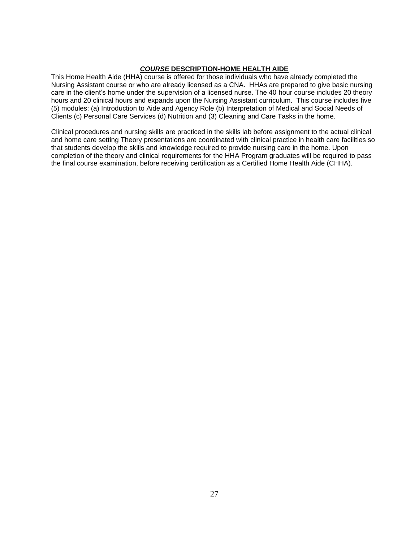## *COURSE* **DESCRIPTION***-***HOME HEALTH AIDE**

This Home Health Aide (HHA) course is offered for those individuals who have already completed the Nursing Assistant course or who are already licensed as a CNA. HHAs are prepared to give basic nursing care in the client's home under the supervision of a licensed nurse. The 40 hour course includes 20 theory hours and 20 clinical hours and expands upon the Nursing Assistant curriculum. This course includes five (5) modules: (a) Introduction to Aide and Agency Role (b) Interpretation of Medical and Social Needs of Clients (c) Personal Care Services (d) Nutrition and (3) Cleaning and Care Tasks in the home.

Clinical procedures and nursing skills are practiced in the skills lab before assignment to the actual clinical and home care setting Theory presentations are coordinated with clinical practice in health care facilities so that students develop the skills and knowledge required to provide nursing care in the home. Upon completion of the theory and clinical requirements for the HHA Program graduates will be required to pass the final course examination, before receiving certification as a Certified Home Health Aide (CHHA).